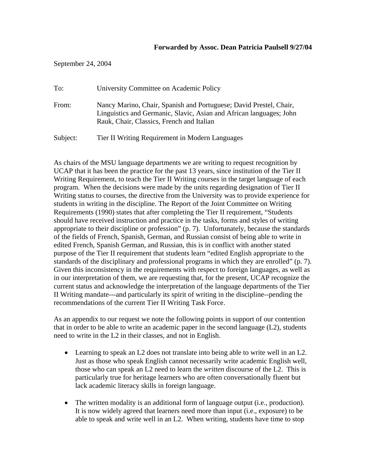September 24, 2004

| To:      | University Committee on Academic Policy                                                                                                                                                |
|----------|----------------------------------------------------------------------------------------------------------------------------------------------------------------------------------------|
| From:    | Nancy Marino, Chair, Spanish and Portuguese; David Prestel, Chair,<br>Linguistics and Germanic, Slavic, Asian and African languages; John<br>Rauk, Chair, Classics, French and Italian |
| Subject: | Tier II Writing Requirement in Modern Languages                                                                                                                                        |

As chairs of the MSU language departments we are writing to request recognition by UCAP that it has been the practice for the past 13 years, since institution of the Tier II Writing Requirement, to teach the Tier II Writing courses in the target language of each program. When the decisions were made by the units regarding designation of Tier II Writing status to courses, the directive from the University was to provide experience for students in writing in the discipline. The Report of the Joint Committee on Writing Requirements (1990) states that after completing the Tier II requirement, "Students should have received instruction and practice in the tasks, forms and styles of writing appropriate to their discipline or profession" (p. 7). Unfortunately, because the standards of the fields of French, Spanish, German, and Russian consist of being able to write in edited French, Spanish German, and Russian, this is in conflict with another stated purpose of the Tier II requirement that students learn "edited English appropriate to the standards of the disciplinary and professional programs in which they are enrolled" (p. 7). Given this inconsistency in the requirements with respect to foreign languages, as well as in our interpretation of them, we are requesting that, for the present, UCAP recognize the current status and acknowledge the interpretation of the language departments of the Tier II Writing mandate---and particularly its spirit of writing in the discipline--pending the recommendations of the current Tier II Writing Task Force.

As an appendix to our request we note the following points in support of our contention that in order to be able to write an academic paper in the second language (L2), students need to write in the L2 in their classes, and not in English.

- Learning to speak an L2 does not translate into being able to write well in an L2. Just as those who speak English cannot necessarily write academic English well, those who can speak an L2 need to learn the *written* discourse of the L2. This is particularly true for heritage learners who are often conversationally fluent but lack academic literacy skills in foreign language.
- The written modality is an additional form of language output (i.e., production). It is now widely agreed that learners need more than input (i.e., exposure) to be able to speak and write well in an L2. When writing, students have time to stop